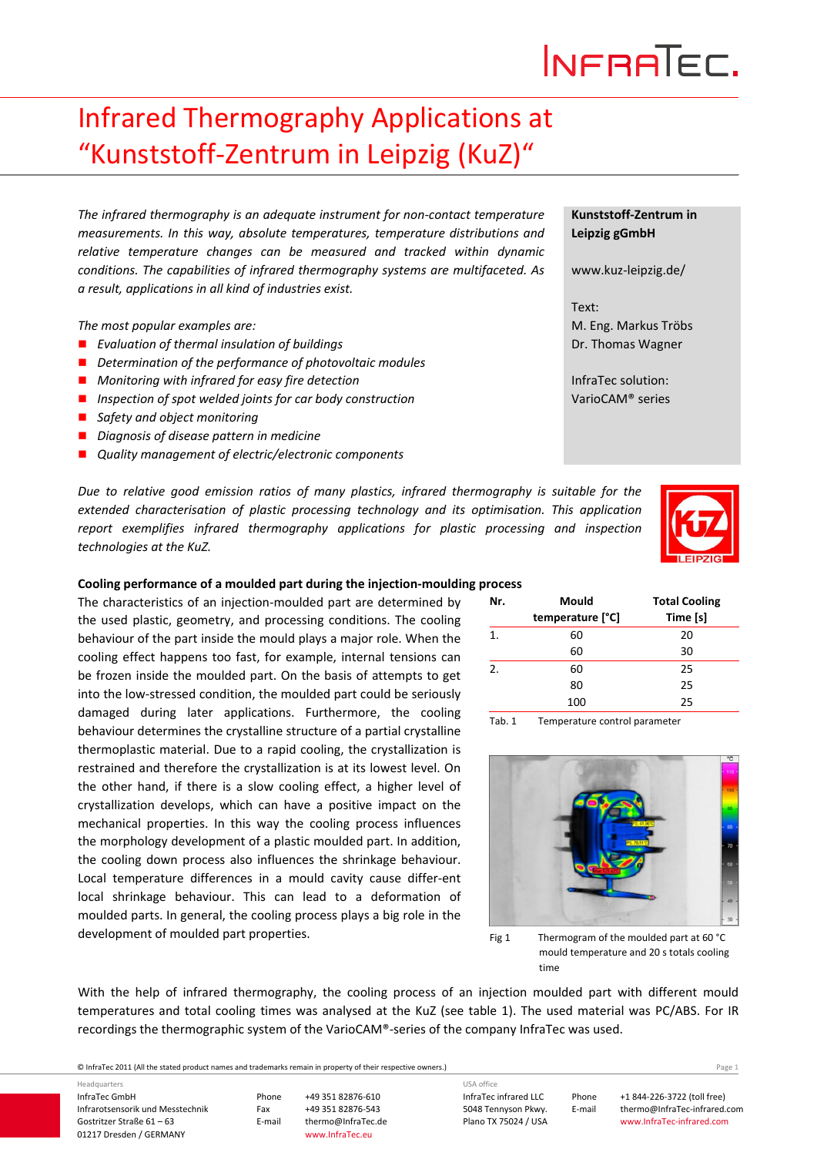# INFRATEC.

## Infrared Thermography Applications at "Kunststoff‐Zentrum in Leipzig (KuZ)"

*The infrared thermography is an adequate instrument for non‐contact temperature measurements. In this way, absolute temperatures, temperature distributions and relative temperature changes can be measured and tracked within dynamic conditions. The capabilities of infrared thermography systems are multifaceted. As a result, applications in all kind of industries exist.*

*The most popular examples are:* 

- *Evaluation of thermal insulation of buildings*
- *Determination of the performance of photovoltaic modules*
- *Monitoring with infrared for easy fire detection*
- *Inspection of spot welded joints for car body construction*
- *Safety and object monitoring*
- *Diagnosis of disease pattern in medicine*
- *Quality management of electric/electronic components*

*Due to relative good emission ratios of many plastics, infrared thermography is suitable for the extended characterisation of plastic processing technology and its optimisation. This application report exemplifies infrared thermography applications for plastic processing and inspection technologies at the KuZ.*

### **Cooling performance of a moulded part during the injection‐moulding process**

The characteristics of an injection‐moulded part are determined by the used plastic, geometry, and processing conditions. The cooling behaviour of the part inside the mould plays a major role. When the cooling effect happens too fast, for example, internal tensions can be frozen inside the moulded part. On the basis of attempts to get into the low‐stressed condition, the moulded part could be seriously damaged during later applications. Furthermore, the cooling behaviour determines the crystalline structure of a partial crystalline thermoplastic material. Due to a rapid cooling, the crystallization is restrained and therefore the crystallization is at its lowest level. On the other hand, if there is a slow cooling effect, a higher level of crystallization develops, which can have a positive impact on the mechanical properties. In this way the cooling process influences the morphology development of a plastic moulded part. In addition, the cooling down process also influences the shrinkage behaviour. Local temperature differences in a mould cavity cause differ‐ent local shrinkage behaviour. This can lead to a deformation of moulded parts. In general, the cooling process plays a big role in the development of moulded part properties.

### **Kunststoff‐Zentrum in Leipzig gGmbH**

www.kuz‐leipzig.de/

Text: M. Eng. Markus Tröbs Dr. Thomas Wagner

InfraTec solution: VarioCAM® series



Tab. 1 Temperature control parameter



Fig 1 Thermogram of the moulded part at 60 °C mould temperature and 20 s totals cooling time

With the help of infrared thermography, the cooling process of an injection moulded part with different mould temperatures and total cooling times was analysed at the KuZ (see table 1). The used material was PC/ABS. For IR recordings the thermographic system of the VarioCAM®‐series of the company InfraTec was used.

© InfraTec 2011 (All the stated product names and trademarks remain in property of their respective owners.) Page **1**

InfraTec GmbH Infrarotsensorik und Messtechnik Gostritzer Straße 61 – 63 Headquarters

01217 Dresden / GERMANY

Phone +49 351 82876‐610 Fax +49 351 82876-543<br>E-mail thermo@InfraTec.c

thermo@InfraTec.de www.InfraTec.eu

InfraTec infrared LLC 5048 Tennyson Pkwy. Plano TX 75024 / USA

USA office

Phone +1 844‐226‐3722 (toll free) E-mail thermo@InfraTec-infrared.com www.InfraTec‐infrared.com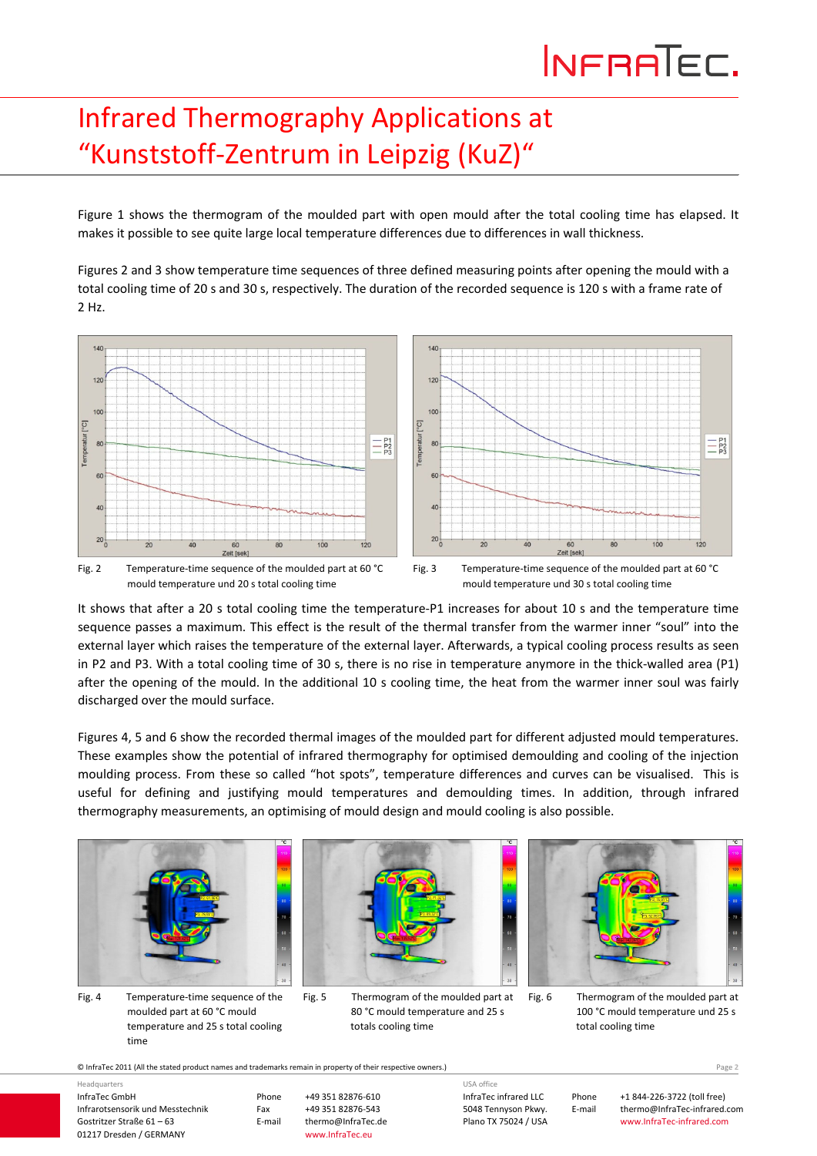# Infrared Thermography Applications at "Kunststoff‐Zentrum in Leipzig (KuZ)"

Figure 1 shows the thermogram of the moulded part with open mould after the total cooling time has elapsed. It makes it possible to see quite large local temperature differences due to differences in wall thickness.

Figures 2 and 3 show temperature time sequences of three defined measuring points after opening the mould with a total cooling time of 20 s and 30 s, respectively. The duration of the recorded sequence is 120 s with a frame rate of 2 Hz.



It shows that after a 20 s total cooling time the temperature‐P1 increases for about 10 s and the temperature time sequence passes a maximum. This effect is the result of the thermal transfer from the warmer inner "soul" into the external layer which raises the temperature of the external layer. Afterwards, a typical cooling process results as seen in P2 and P3. With a total cooling time of 30 s, there is no rise in temperature anymore in the thick-walled area (P1) after the opening of the mould. In the additional 10 s cooling time, the heat from the warmer inner soul was fairly discharged over the mould surface.

Figures 4, 5 and 6 show the recorded thermal images of the moulded part for different adjusted mould temperatures. These examples show the potential of infrared thermography for optimised demoulding and cooling of the injection moulding process. From these so called "hot spots", temperature differences and curves can be visualised. This is useful for defining and justifying mould temperatures and demoulding times. In addition, through infrared thermography measurements, an optimising of mould design and mould cooling is also possible.



Fig. 4 Temperature-time sequence of the moulded part at 60 °C mould temperature and 25 s total cooling time



Fig. 5 Thermogram of the moulded part at 80 °C mould temperature and 25 s totals cooling time



Fig. 6 Thermogram of the moulded part at 100 °C mould temperature und 25 s total cooling time

© InfraTec 2011 (All the stated product names and trademarks remain in property of their respective owners.) Page **2**

InfraTec GmbH Infrarotsensorik und Messtechnik Gostritzer Straße 61 – 63 01217 Dresden / GERMANY

Headquarters

Phone +49 351 82876‐610 Fax +49 351 82876-543<br>E-mail thermo@InfraTec.c thermo@InfraTec.de www.InfraTec.eu

InfraTec infrared LLC 5048 Tennyson Pkwy. Plano TX 75024 / USA USA office

Phone +1 844‐226‐3722 (toll free) E-mail thermo@InfraTec-infrared.com www.InfraTec‐infrared.com